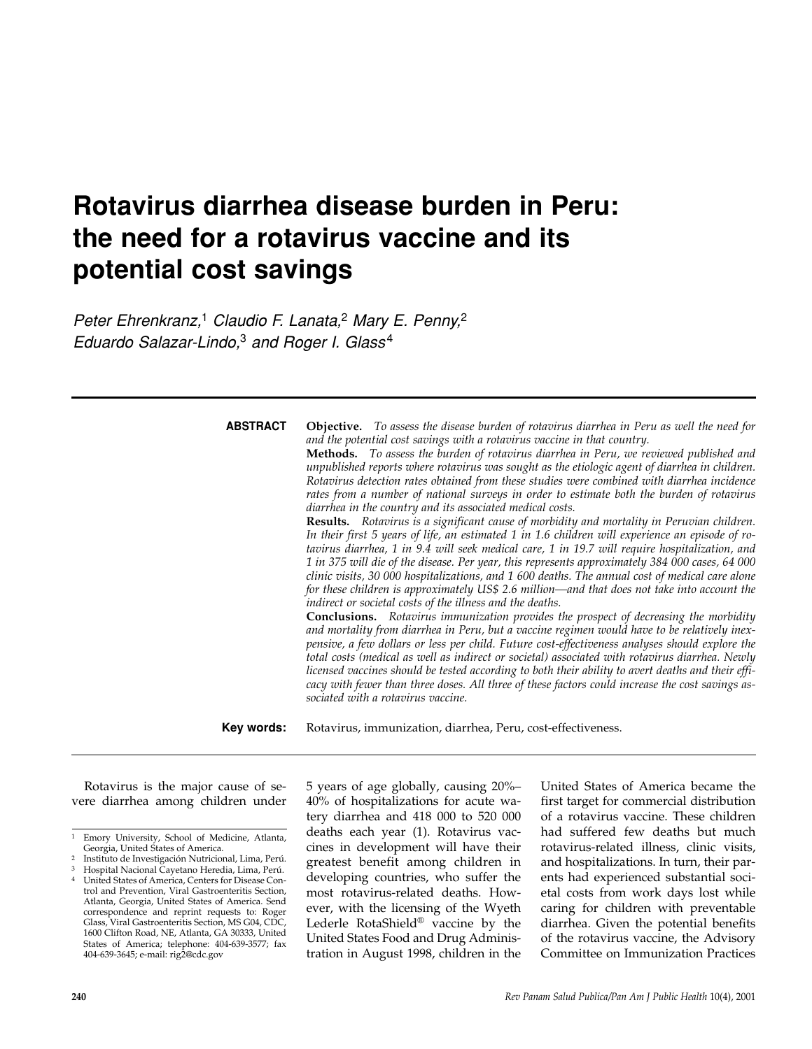# **Rotavirus diarrhea disease burden in Peru: the need for a rotavirus vaccine and its potential cost savings**

*Peter Ehrenkranz,*<sup>1</sup> *Claudio F. Lanata,*<sup>2</sup> *Mary E. Penny,*<sup>2</sup> *Eduardo Salazar-Lindo,*<sup>3</sup> *and Roger I. Glass* <sup>4</sup>

| <b>ABSTRACT</b> | <b>Objective.</b> To assess the disease burden of rotavirus diarrhea in Peru as well the need for<br>and the potential cost savings with a rotavirus vaccine in that country.<br>Methods. To assess the burden of rotavirus diarrhea in Peru, we reviewed published and<br>unpublished reports where rotavirus was sought as the etiologic agent of diarrhea in children.<br>Rotavirus detection rates obtained from these studies were combined with diarrhea incidence<br>rates from a number of national surveys in order to estimate both the burden of rotavirus<br>diarrhea in the country and its associated medical costs.<br>Results. Rotavirus is a significant cause of morbidity and mortality in Peruvian children.<br>In their first 5 years of life, an estimated 1 in 1.6 children will experience an episode of ro-<br>tavirus diarrhea, 1 in 9.4 will seek medical care, 1 in 19.7 will require hospitalization, and<br>1 in 375 will die of the disease. Per year, this represents approximately 384 000 cases, 64 000<br>clinic visits, 30 000 hospitalizations, and 1 600 deaths. The annual cost of medical care alone<br>for these children is approximately US\$ 2.6 million—and that does not take into account the<br>indirect or societal costs of the illness and the deaths.<br><b>Conclusions.</b> Rotavirus immunization provides the prospect of decreasing the morbidity<br>and mortality from diarrhea in Peru, but a vaccine regimen would have to be relatively inex-<br>pensive, a few dollars or less per child. Future cost-effectiveness analyses should explore the<br>total costs (medical as well as indirect or societal) associated with rotavirus diarrhea. Newly<br>licensed vaccines should be tested according to both their ability to avert deaths and their effi-<br>cacy with fewer than three doses. All three of these factors could increase the cost savings as-<br>sociated with a rotavirus vaccine. |
|-----------------|-----------------------------------------------------------------------------------------------------------------------------------------------------------------------------------------------------------------------------------------------------------------------------------------------------------------------------------------------------------------------------------------------------------------------------------------------------------------------------------------------------------------------------------------------------------------------------------------------------------------------------------------------------------------------------------------------------------------------------------------------------------------------------------------------------------------------------------------------------------------------------------------------------------------------------------------------------------------------------------------------------------------------------------------------------------------------------------------------------------------------------------------------------------------------------------------------------------------------------------------------------------------------------------------------------------------------------------------------------------------------------------------------------------------------------------------------------------------------------------------------------------------------------------------------------------------------------------------------------------------------------------------------------------------------------------------------------------------------------------------------------------------------------------------------------------------------------------------------------------------------------------------------------------------------------------------------------------------|
| Key words:      | Rotavirus, immunization, diarrhea, Peru, cost-effectiveness.                                                                                                                                                                                                                                                                                                                                                                                                                                                                                                                                                                                                                                                                                                                                                                                                                                                                                                                                                                                                                                                                                                                                                                                                                                                                                                                                                                                                                                                                                                                                                                                                                                                                                                                                                                                                                                                                                                    |

Rotavirus is the major cause of severe diarrhea among children under 5 years of age globally, causing 20%– 40% of hospitalizations for acute watery diarrhea and 418 000 to 520 000 deaths each year (1). Rotavirus vaccines in development will have their greatest benefit among children in developing countries, who suffer the most rotavirus-related deaths. However, with the licensing of the Wyeth Lederle RotaShield® vaccine by the United States Food and Drug Administration in August 1998, children in the

United States of America became the first target for commercial distribution of a rotavirus vaccine. These children had suffered few deaths but much rotavirus-related illness, clinic visits, and hospitalizations. In turn, their parents had experienced substantial societal costs from work days lost while caring for children with preventable diarrhea. Given the potential benefits of the rotavirus vaccine, the Advisory Committee on Immunization Practices

Emory University, School of Medicine, Atlanta, Georgia, United States of America.<br><sup>2</sup> Instituto de Investigación Nutricional, Lima, Perú.

Hospital Nacional Cayetano Heredia, Lima, Perú.<br>United States of America, Centers for Disease Con-

trol and Prevention, Viral Gastroenteritis Section, Atlanta, Georgia, United States of America. Send correspondence and reprint requests to: Roger Glass, Viral Gastroenteritis Section, MS G04, CDC, 1600 Clifton Road, NE, Atlanta, GA 30333, United States of America; telephone: 404-639-3577; fax 404-639-3645; e-mail: rig2@cdc.gov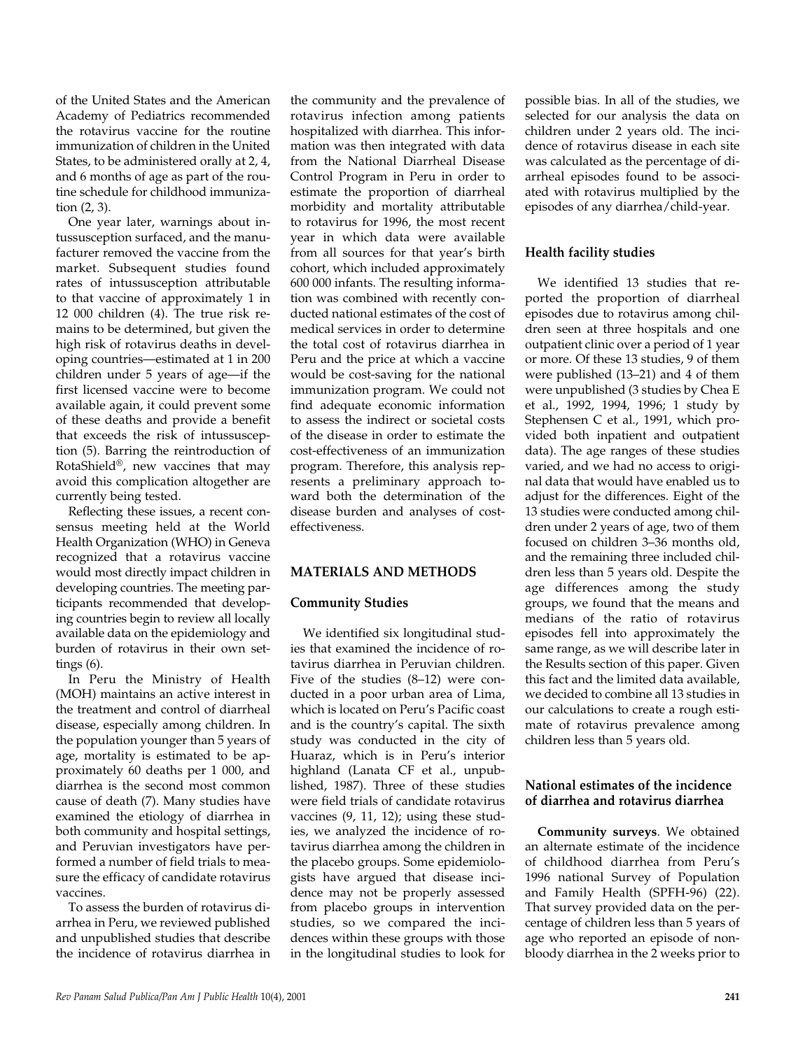of the United States and the American Academy of Pediatrics recommended the rotavirus vaccine for the routine immunization of children in the United States, to be administered orally at 2, 4, and 6 months of age as part of the routine schedule for childhood immunization (2, 3).

One year later, warnings about intussusception surfaced, and the manufacturer removed the vaccine from the market. Subsequent studies found rates of intussusception attributable to that vaccine of approximately 1 in 12 000 children (4). The true risk remains to be determined, but given the high risk of rotavirus deaths in developing countries—estimated at 1 in 200 children under 5 years of age—if the first licensed vaccine were to become available again, it could prevent some of these deaths and provide a benefit that exceeds the risk of intussusception (5). Barring the reintroduction of RotaShield®, new vaccines that may avoid this complication altogether are currently being tested.

Reflecting these issues, a recent consensus meeting held at the World Health Organization (WHO) in Geneva recognized that a rotavirus vaccine would most directly impact children in developing countries. The meeting participants recommended that developing countries begin to review all locally available data on the epidemiology and burden of rotavirus in their own settings (6).

In Peru the Ministry of Health (MOH) maintains an active interest in the treatment and control of diarrheal disease, especially among children. In the population younger than 5 years of age, mortality is estimated to be approximately 60 deaths per 1 000, and diarrhea is the second most common cause of death (7). Many studies have examined the etiology of diarrhea in both community and hospital settings, and Peruvian investigators have performed a number of field trials to measure the efficacy of candidate rotavirus vaccines.

To assess the burden of rotavirus diarrhea in Peru, we reviewed published and unpublished studies that describe the incidence of rotavirus diarrhea in

the community and the prevalence of rotavirus infection among patients hospitalized with diarrhea. This information was then integrated with data from the National Diarrheal Disease Control Program in Peru in order to estimate the proportion of diarrheal morbidity and mortality attributable to rotavirus for 1996, the most recent year in which data were available from all sources for that year's birth cohort, which included approximately 600 000 infants. The resulting information was combined with recently conducted national estimates of the cost of medical services in order to determine the total cost of rotavirus diarrhea in Peru and the price at which a vaccine would be cost-saving for the national immunization program. We could not find adequate economic information to assess the indirect or societal costs of the disease in order to estimate the cost-effectiveness of an immunization program. Therefore, this analysis represents a preliminary approach toward both the determination of the disease burden and analyses of costeffectiveness.

## **MATERIALS AND METHODS**

## **Community Studies**

We identified six longitudinal studies that examined the incidence of rotavirus diarrhea in Peruvian children. Five of the studies (8–12) were conducted in a poor urban area of Lima, which is located on Peru's Pacific coast and is the country's capital. The sixth study was conducted in the city of Huaraz, which is in Peru's interior highland (Lanata CF et al., unpublished, 1987). Three of these studies were field trials of candidate rotavirus vaccines (9, 11, 12); using these studies, we analyzed the incidence of rotavirus diarrhea among the children in the placebo groups. Some epidemiologists have argued that disease incidence may not be properly assessed from placebo groups in intervention studies, so we compared the incidences within these groups with those in the longitudinal studies to look for

possible bias. In all of the studies, we selected for our analysis the data on children under 2 years old. The incidence of rotavirus disease in each site was calculated as the percentage of diarrheal episodes found to be associated with rotavirus multiplied by the episodes of any diarrhea/child-year.

## **Health facility studies**

We identified 13 studies that reported the proportion of diarrheal episodes due to rotavirus among children seen at three hospitals and one outpatient clinic over a period of 1 year or more. Of these 13 studies, 9 of them were published (13–21) and 4 of them were unpublished (3 studies by Chea E et al., 1992, 1994, 1996; 1 study by Stephensen C et al., 1991, which provided both inpatient and outpatient data). The age ranges of these studies varied, and we had no access to original data that would have enabled us to adjust for the differences. Eight of the 13 studies were conducted among children under 2 years of age, two of them focused on children 3–36 months old, and the remaining three included children less than 5 years old. Despite the age differences among the study groups, we found that the means and medians of the ratio of rotavirus episodes fell into approximately the same range, as we will describe later in the Results section of this paper. Given this fact and the limited data available, we decided to combine all 13 studies in our calculations to create a rough estimate of rotavirus prevalence among children less than 5 years old.

## **National estimates of the incidence of diarrhea and rotavirus diarrhea**

**Community surveys**. We obtained an alternate estimate of the incidence of childhood diarrhea from Peru's 1996 national Survey of Population and Family Health (SPFH-96) (22). That survey provided data on the percentage of children less than 5 years of age who reported an episode of nonbloody diarrhea in the 2 weeks prior to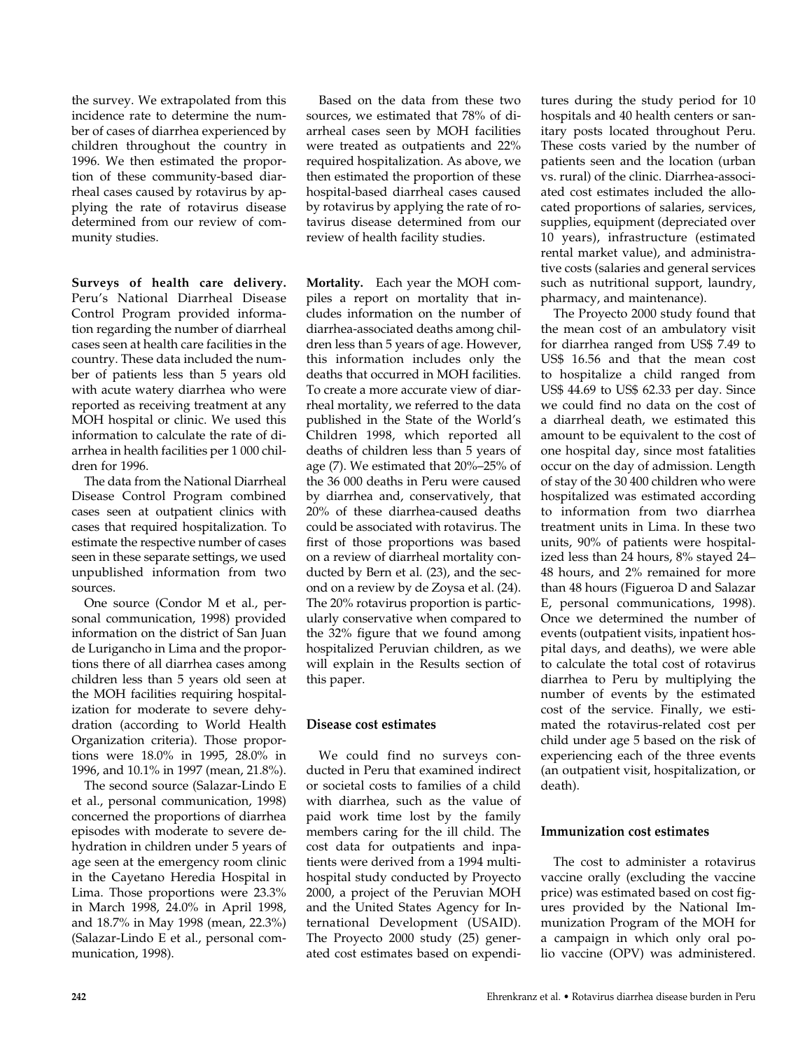the survey. We extrapolated from this incidence rate to determine the number of cases of diarrhea experienced by children throughout the country in 1996. We then estimated the proportion of these community-based diarrheal cases caused by rotavirus by applying the rate of rotavirus disease determined from our review of community studies.

**Surveys of health care delivery.** Peru's National Diarrheal Disease Control Program provided information regarding the number of diarrheal cases seen at health care facilities in the country. These data included the number of patients less than 5 years old with acute watery diarrhea who were reported as receiving treatment at any MOH hospital or clinic. We used this information to calculate the rate of diarrhea in health facilities per 1 000 children for 1996.

The data from the National Diarrheal Disease Control Program combined cases seen at outpatient clinics with cases that required hospitalization. To estimate the respective number of cases seen in these separate settings, we used unpublished information from two sources.

One source (Condor M et al., personal communication, 1998) provided information on the district of San Juan de Lurigancho in Lima and the proportions there of all diarrhea cases among children less than 5 years old seen at the MOH facilities requiring hospitalization for moderate to severe dehydration (according to World Health Organization criteria). Those proportions were 18.0% in 1995, 28.0% in 1996, and 10.1% in 1997 (mean, 21.8%).

The second source (Salazar-Lindo E et al., personal communication, 1998) concerned the proportions of diarrhea episodes with moderate to severe dehydration in children under 5 years of age seen at the emergency room clinic in the Cayetano Heredia Hospital in Lima. Those proportions were 23.3% in March 1998, 24.0% in April 1998, and 18.7% in May 1998 (mean, 22.3%) (Salazar-Lindo E et al., personal communication, 1998).

Based on the data from these two sources, we estimated that 78% of diarrheal cases seen by MOH facilities were treated as outpatients and 22% required hospitalization. As above, we then estimated the proportion of these hospital-based diarrheal cases caused by rotavirus by applying the rate of rotavirus disease determined from our review of health facility studies.

**Mortality.** Each year the MOH compiles a report on mortality that includes information on the number of diarrhea-associated deaths among children less than 5 years of age. However, this information includes only the deaths that occurred in MOH facilities. To create a more accurate view of diarrheal mortality, we referred to the data published in the State of the World's Children 1998, which reported all deaths of children less than 5 years of age (7). We estimated that 20%–25% of the 36 000 deaths in Peru were caused by diarrhea and, conservatively, that 20% of these diarrhea-caused deaths could be associated with rotavirus. The first of those proportions was based on a review of diarrheal mortality conducted by Bern et al. (23), and the second on a review by de Zoysa et al. (24). The 20% rotavirus proportion is particularly conservative when compared to the 32% figure that we found among hospitalized Peruvian children, as we will explain in the Results section of this paper.

## **Disease cost estimates**

We could find no surveys conducted in Peru that examined indirect or societal costs to families of a child with diarrhea, such as the value of paid work time lost by the family members caring for the ill child. The cost data for outpatients and inpatients were derived from a 1994 multihospital study conducted by Proyecto 2000, a project of the Peruvian MOH and the United States Agency for International Development (USAID). The Proyecto 2000 study (25) generated cost estimates based on expenditures during the study period for 10 hospitals and 40 health centers or sanitary posts located throughout Peru. These costs varied by the number of patients seen and the location (urban vs. rural) of the clinic. Diarrhea-associated cost estimates included the allocated proportions of salaries, services, supplies, equipment (depreciated over 10 years), infrastructure (estimated rental market value), and administrative costs (salaries and general services such as nutritional support, laundry, pharmacy, and maintenance).

The Proyecto 2000 study found that the mean cost of an ambulatory visit for diarrhea ranged from US\$ 7.49 to US\$ 16.56 and that the mean cost to hospitalize a child ranged from US\$ 44.69 to US\$ 62.33 per day. Since we could find no data on the cost of a diarrheal death, we estimated this amount to be equivalent to the cost of one hospital day, since most fatalities occur on the day of admission. Length of stay of the 30 400 children who were hospitalized was estimated according to information from two diarrhea treatment units in Lima. In these two units, 90% of patients were hospitalized less than 24 hours, 8% stayed 24– 48 hours, and 2% remained for more than 48 hours (Figueroa D and Salazar E, personal communications, 1998). Once we determined the number of events (outpatient visits, inpatient hospital days, and deaths), we were able to calculate the total cost of rotavirus diarrhea to Peru by multiplying the number of events by the estimated cost of the service. Finally, we estimated the rotavirus-related cost per child under age 5 based on the risk of experiencing each of the three events (an outpatient visit, hospitalization, or death).

## **Immunization cost estimates**

The cost to administer a rotavirus vaccine orally (excluding the vaccine price) was estimated based on cost figures provided by the National Immunization Program of the MOH for a campaign in which only oral polio vaccine (OPV) was administered.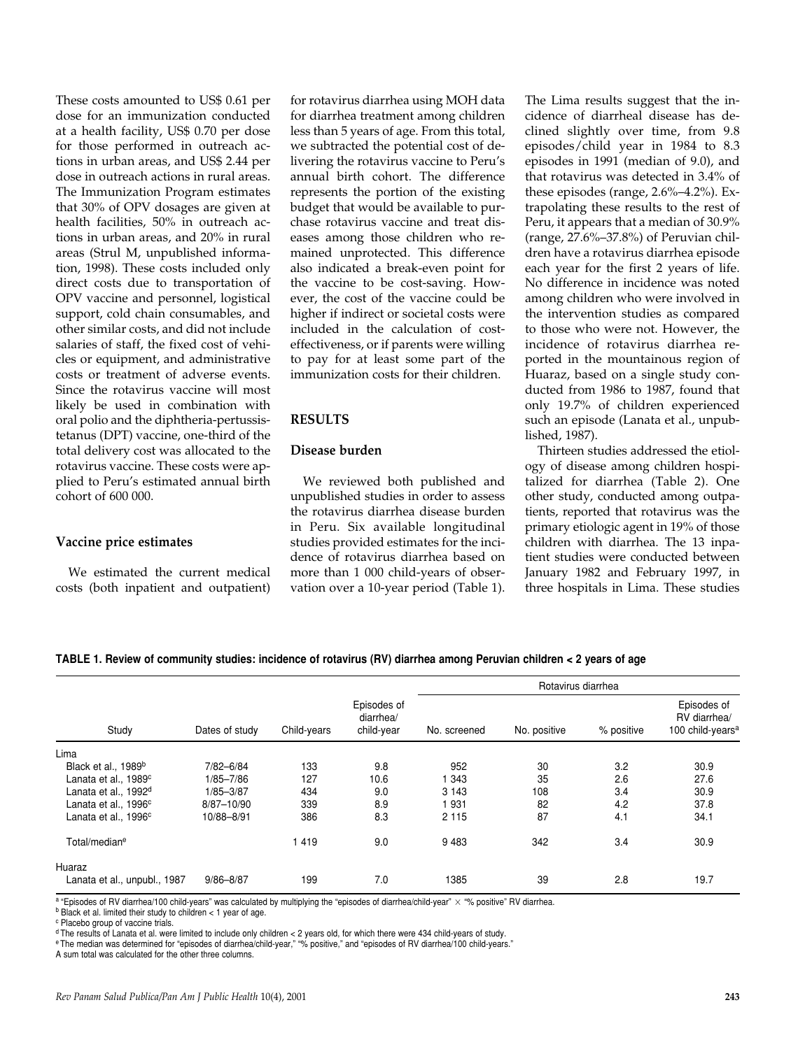These costs amounted to US\$ 0.61 per dose for an immunization conducted at a health facility, US\$ 0.70 per dose for those performed in outreach actions in urban areas, and US\$ 2.44 per dose in outreach actions in rural areas. The Immunization Program estimates that 30% of OPV dosages are given at health facilities, 50% in outreach actions in urban areas, and 20% in rural areas (Strul M, unpublished information, 1998). These costs included only direct costs due to transportation of OPV vaccine and personnel, logistical support, cold chain consumables, and other similar costs, and did not include salaries of staff, the fixed cost of vehicles or equipment, and administrative costs or treatment of adverse events. Since the rotavirus vaccine will most likely be used in combination with oral polio and the diphtheria-pertussistetanus (DPT) vaccine, one-third of the total delivery cost was allocated to the rotavirus vaccine. These costs were applied to Peru's estimated annual birth cohort of 600 000.

#### **Vaccine price estimates**

We estimated the current medical costs (both inpatient and outpatient)

for rotavirus diarrhea using MOH data for diarrhea treatment among children less than 5 years of age. From this total, we subtracted the potential cost of delivering the rotavirus vaccine to Peru's annual birth cohort. The difference represents the portion of the existing budget that would be available to purchase rotavirus vaccine and treat diseases among those children who remained unprotected. This difference also indicated a break-even point for the vaccine to be cost-saving. However, the cost of the vaccine could be higher if indirect or societal costs were included in the calculation of costeffectiveness, or if parents were willing to pay for at least some part of the immunization costs for their children.

#### **RESULTS**

#### **Disease burden**

We reviewed both published and unpublished studies in order to assess the rotavirus diarrhea disease burden in Peru. Six available longitudinal studies provided estimates for the incidence of rotavirus diarrhea based on more than 1 000 child-years of observation over a 10-year period (Table 1).

The Lima results suggest that the incidence of diarrheal disease has declined slightly over time, from 9.8 episodes/child year in 1984 to 8.3 episodes in 1991 (median of 9.0), and that rotavirus was detected in 3.4% of these episodes (range, 2.6%–4.2%). Extrapolating these results to the rest of Peru, it appears that a median of 30.9% (range, 27.6%–37.8%) of Peruvian children have a rotavirus diarrhea episode each year for the first 2 years of life. No difference in incidence was noted among children who were involved in the intervention studies as compared to those who were not. However, the incidence of rotavirus diarrhea reported in the mountainous region of Huaraz, based on a single study conducted from 1986 to 1987, found that only 19.7% of children experienced such an episode (Lanata et al., unpublished, 1987).

Thirteen studies addressed the etiology of disease among children hospitalized for diarrhea (Table 2). One other study, conducted among outpatients, reported that rotavirus was the primary etiologic agent in 19% of those children with diarrhea. The 13 inpatient studies were conducted between January 1982 and February 1997, in three hospitals in Lima. These studies

|  | TABLE 1. Review of community studies: incidence of rotavirus (RV) diarrhea among Peruvian children < 2 years of age |  |  |  |
|--|---------------------------------------------------------------------------------------------------------------------|--|--|--|
|--|---------------------------------------------------------------------------------------------------------------------|--|--|--|

|                                  |                |             | Episodes of<br>diarrhea/<br>child-year | Rotavirus diarrhea |              |            |                                                             |
|----------------------------------|----------------|-------------|----------------------------------------|--------------------|--------------|------------|-------------------------------------------------------------|
| Study                            | Dates of study | Child-years |                                        | No. screened       | No. positive | % positive | Episodes of<br>RV diarrhea/<br>100 child-years <sup>a</sup> |
| Lima                             |                |             |                                        |                    |              |            |                                                             |
| Black et al., 1989 <sup>b</sup>  | 7/82-6/84      | 133         | 9.8                                    | 952                | 30           | 3.2        | 30.9                                                        |
| Lanata et al., 1989 <sup>c</sup> | 1/85-7/86      | 127         | 10.6                                   | 1 3 4 3            | 35           | 2.6        | 27.6                                                        |
| Lanata et al., 1992 <sup>d</sup> | $1/85 - 3/87$  | 434         | 9.0                                    | 3 1 4 3            | 108          | 3.4        | 30.9                                                        |
| Lanata et al., 1996 <sup>c</sup> | 8/87-10/90     | 339         | 8.9                                    | 1 9 3 1            | 82           | 4.2        | 37.8                                                        |
| Lanata et al., 1996 <sup>c</sup> | 10/88-8/91     | 386         | 8.3                                    | 2 1 1 5            | 87           | 4.1        | 34.1                                                        |
| Total/median <sup>e</sup>        |                | 1419        | 9.0                                    | 9 4 8 3            | 342          | 3.4        | 30.9                                                        |
| Huaraz                           |                |             |                                        |                    |              |            |                                                             |
| Lanata et al., unpubl., 1987     | $9/86 - 8/87$  | 199         | 7.0                                    | 1385               | 39           | 2.8        | 19.7                                                        |

<sup>a</sup> "Episodes of RV diarrhea/100 child-years" was calculated by multiplying the "episodes of diarrhea/child-year"  $\times$  "% positive" RV diarrhea.

 $<sup>b</sup>$  Black et al. limited their study to children < 1 year of age.</sup>

<sup>c</sup> Placebo group of vaccine trials.

<sup>e</sup> The median was determined for "episodes of diarrhea/child-year," "% positive," and "episodes of RV diarrhea/100 child-years."

A sum total was calculated for the other three columns.

<sup>d</sup> The results of Lanata et al. were limited to include only children < 2 years old, for which there were 434 child-years of study.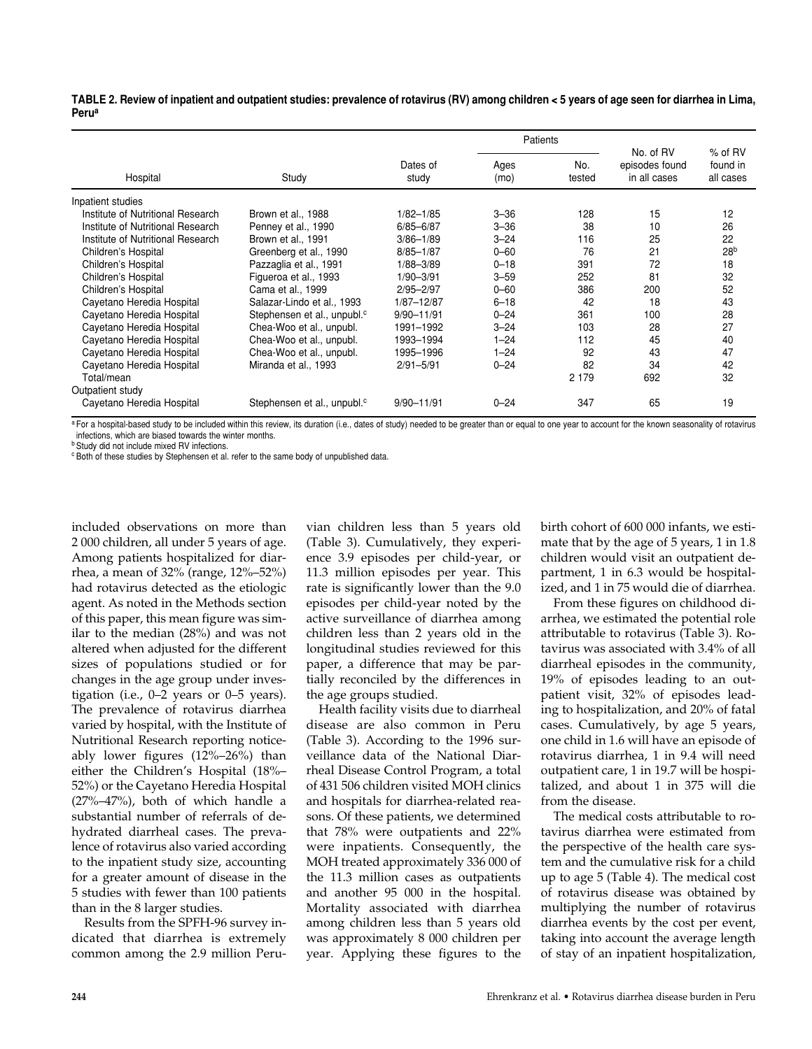#### **TABLE 2. Review of inpatient and outpatient studies: prevalence of rotavirus (RV) among children < 5 years of age seen for diarrhea in Lima, Perua**

|                                   |                                         |                   | Patients     |               |                                             |                                  |  |
|-----------------------------------|-----------------------------------------|-------------------|--------------|---------------|---------------------------------------------|----------------------------------|--|
| Hospital                          | Study                                   | Dates of<br>study | Ages<br>(mo) | No.<br>tested | No. of RV<br>episodes found<br>in all cases | % of RV<br>found in<br>all cases |  |
| Inpatient studies                 |                                         |                   |              |               |                                             |                                  |  |
| Institute of Nutritional Research | Brown et al., 1988                      | $1/82 - 1/85$     | $3 - 36$     | 128           | 15                                          | 12                               |  |
| Institute of Nutritional Research | Penney et al., 1990                     | $6/85 - 6/87$     | $3 - 36$     | 38            | 10                                          | 26                               |  |
| Institute of Nutritional Research | Brown et al., 1991                      | $3/86 - 1/89$     | $3 - 24$     | 116           | 25                                          | 22                               |  |
| Children's Hospital               | Greenberg et al., 1990                  | $8/85 - 1/87$     | $0 - 60$     | 76            | 21                                          | 28 <sup>b</sup>                  |  |
| Children's Hospital               | Pazzaglia et al., 1991                  | 1/88-3/89         | $0 - 18$     | 391           | 72                                          | 18                               |  |
| Children's Hospital               | Figueroa et al., 1993                   | $1/90 - 3/91$     | $3 - 59$     | 252           | 81                                          | 32                               |  |
| Children's Hospital               | Cama et al., 1999                       | $2/95 - 2/97$     | $0 - 60$     | 386           | 200                                         | 52                               |  |
| Cayetano Heredia Hospital         | Salazar-Lindo et al., 1993              | $1/87 - 12/87$    | $6 - 18$     | 42            | 18                                          | 43                               |  |
| Cavetano Heredia Hospital         | Stephensen et al., unpubl. <sup>c</sup> | 9/90-11/91        | $0 - 24$     | 361           | 100                                         | 28                               |  |
| Cavetano Heredia Hospital         | Chea-Woo et al., unpubl.                | 1991-1992         | $3 - 24$     | 103           | 28                                          | 27                               |  |
| Cavetano Heredia Hospital         | Chea-Woo et al., unpubl.                | 1993-1994         | $1 - 24$     | 112           | 45                                          | 40                               |  |
| Cavetano Heredia Hospital         | Chea-Woo et al., unpubl.                | 1995-1996         | $1 - 24$     | 92            | 43                                          | 47                               |  |
| Cavetano Heredia Hospital         | Miranda et al., 1993                    | $2/91 - 5/91$     | $0 - 24$     | 82            | 34                                          | 42                               |  |
| Total/mean                        |                                         |                   |              | 2 1 7 9       | 692                                         | 32                               |  |
| Outpatient study                  |                                         |                   |              |               |                                             |                                  |  |
| Cavetano Heredia Hospital         | Stephensen et al., unpubl. <sup>c</sup> | 9/90-11/91        | $0 - 24$     | 347           | 65                                          | 19                               |  |

a For a hospital-based study to be included within this review, its duration (i.e., dates of study) needed to be greater than or equal to one year to account for the known seasonality of rotavirus infections, which are biased towards the winter months.

<sup>b</sup> Study did not include mixed RV infections.

<sup>c</sup> Both of these studies by Stephensen et al. refer to the same body of unpublished data.

included observations on more than 2 000 children, all under 5 years of age. Among patients hospitalized for diarrhea, a mean of 32% (range, 12%–52%) had rotavirus detected as the etiologic agent. As noted in the Methods section of this paper, this mean figure was similar to the median (28%) and was not altered when adjusted for the different sizes of populations studied or for changes in the age group under investigation (i.e., 0–2 years or 0–5 years). The prevalence of rotavirus diarrhea varied by hospital, with the Institute of Nutritional Research reporting noticeably lower figures (12%–26%) than either the Children's Hospital (18%– 52%) or the Cayetano Heredia Hospital (27%–47%), both of which handle a substantial number of referrals of dehydrated diarrheal cases. The prevalence of rotavirus also varied according to the inpatient study size, accounting for a greater amount of disease in the 5 studies with fewer than 100 patients than in the 8 larger studies.

Results from the SPFH-96 survey indicated that diarrhea is extremely common among the 2.9 million Peruvian children less than 5 years old (Table 3). Cumulatively, they experience 3.9 episodes per child-year, or 11.3 million episodes per year. This rate is significantly lower than the 9.0 episodes per child-year noted by the active surveillance of diarrhea among children less than 2 years old in the longitudinal studies reviewed for this paper, a difference that may be partially reconciled by the differences in the age groups studied.

Health facility visits due to diarrheal disease are also common in Peru (Table 3). According to the 1996 surveillance data of the National Diarrheal Disease Control Program, a total of 431 506 children visited MOH clinics and hospitals for diarrhea-related reasons. Of these patients, we determined that 78% were outpatients and 22% were inpatients. Consequently, the MOH treated approximately 336 000 of the 11.3 million cases as outpatients and another 95 000 in the hospital. Mortality associated with diarrhea among children less than 5 years old was approximately 8 000 children per year. Applying these figures to the

birth cohort of 600 000 infants, we estimate that by the age of 5 years, 1 in 1.8 children would visit an outpatient department, 1 in 6.3 would be hospitalized, and 1 in 75 would die of diarrhea.

From these figures on childhood diarrhea, we estimated the potential role attributable to rotavirus (Table 3). Rotavirus was associated with 3.4% of all diarrheal episodes in the community, 19% of episodes leading to an outpatient visit, 32% of episodes leading to hospitalization, and 20% of fatal cases. Cumulatively, by age 5 years, one child in 1.6 will have an episode of rotavirus diarrhea, 1 in 9.4 will need outpatient care, 1 in 19.7 will be hospitalized, and about 1 in 375 will die from the disease.

The medical costs attributable to rotavirus diarrhea were estimated from the perspective of the health care system and the cumulative risk for a child up to age 5 (Table 4). The medical cost of rotavirus disease was obtained by multiplying the number of rotavirus diarrhea events by the cost per event, taking into account the average length of stay of an inpatient hospitalization,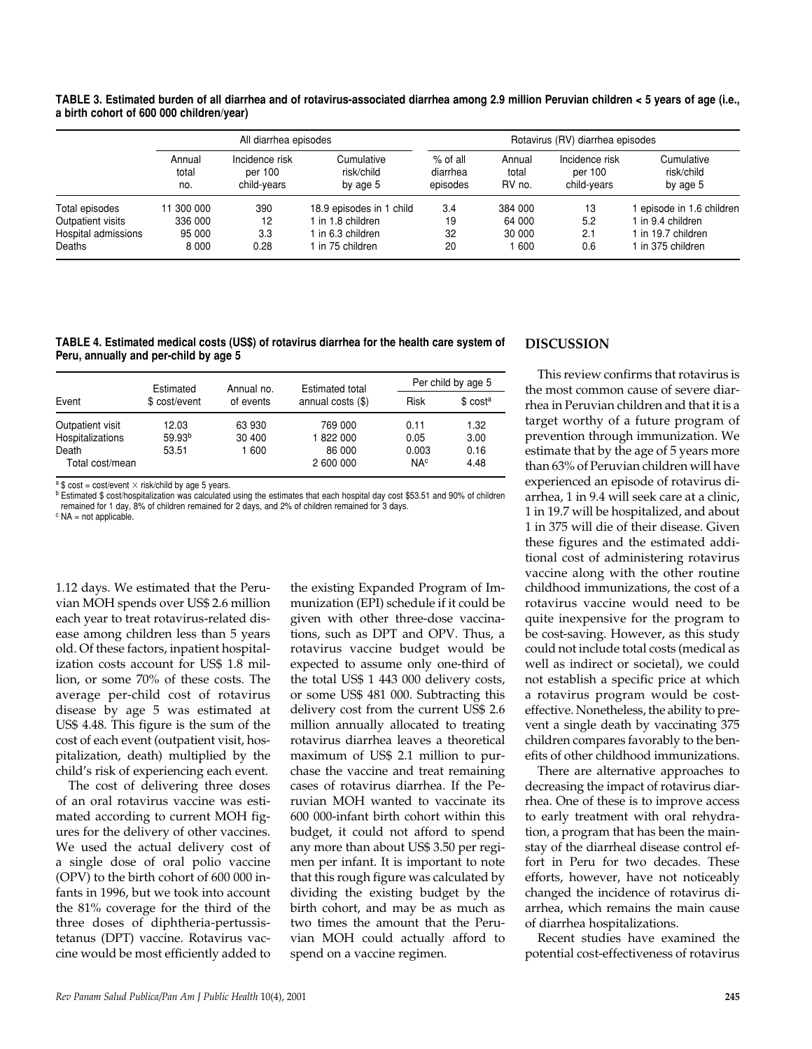**TABLE 3. Estimated burden of all diarrhea and of rotavirus-associated diarrhea among 2.9 million Peruvian children < 5 years of age (i.e., a birth cohort of 600 000 children/year)**

|                     | All diarrhea episodes  |                                          |                                      | Rotavirus (RV) diarrhea episodes   |                           |                                          |                                      |
|---------------------|------------------------|------------------------------------------|--------------------------------------|------------------------------------|---------------------------|------------------------------------------|--------------------------------------|
|                     | Annual<br>total<br>no. | Incidence risk<br>per 100<br>child-years | Cumulative<br>risk/child<br>by age 5 | $%$ of all<br>diarrhea<br>episodes | Annual<br>total<br>RV no. | Incidence risk<br>per 100<br>child-years | Cumulative<br>risk/child<br>by age 5 |
| Total episodes      | 11 300 000             | 390                                      | 18.9 episodes in 1 child             | 3.4                                | 384 000                   | 13                                       | episode in 1.6 children              |
| Outpatient visits   | 336 000                | 12                                       | 1 in 1.8 children                    | 19                                 | 64 000                    | 5.2                                      | 1 in 9.4 children                    |
| Hospital admissions | 95 000                 | 3.3                                      | 1 in 6.3 children                    | 32                                 | 30 000                    | 2.1                                      | 1 in 19.7 children                   |
| Deaths              | 8 0 0 0                | 0.28                                     | I in 75 children                     | 20                                 | 600                       | 0.6                                      | 1 in 375 children                    |

**TABLE 4. Estimated medical costs (US\$) of rotavirus diarrhea for the health care system of Peru, annually and per-child by age 5**

| Event            | Estimated          | Annual no.<br>of events | Estimated total   | Per child by age 5    |                      |  |
|------------------|--------------------|-------------------------|-------------------|-----------------------|----------------------|--|
|                  | \$ cost/event      |                         | annual costs (\$) | <b>Risk</b>           | \$ cost <sup>a</sup> |  |
| Outpatient visit | 12.03              | 63 930                  | 769 000           | 0.11                  | 1.32                 |  |
| Hospitalizations | 59.93 <sup>b</sup> | 30 400                  | 1822000           | 0.05                  | 3.00                 |  |
| Death            | 53.51              | 1 600                   | 86 000            | 0.003                 | 0.16                 |  |
| Total cost/mean  |                    |                         | 2 600 000         | <b>NA<sup>c</sup></b> | 4.48                 |  |

 $a$  \$ cost = cost/event  $\times$  risk/child by age 5 years.

<sup>b</sup> Estimated \$ cost/hospitalization was calculated using the estimates that each hospital day cost \$53.51 and 90% of children remained for 1 day, 8% of children remained for 2 days, and 2% of children remained for 3 days.

 $c$  NA = not applicable.

1.12 days. We estimated that the Peruvian MOH spends over US\$ 2.6 million each year to treat rotavirus-related disease among children less than 5 years old. Of these factors, inpatient hospitalization costs account for US\$ 1.8 million, or some 70% of these costs. The average per-child cost of rotavirus disease by age 5 was estimated at US\$ 4.48. This figure is the sum of the cost of each event (outpatient visit, hospitalization, death) multiplied by the child's risk of experiencing each event.

The cost of delivering three doses of an oral rotavirus vaccine was estimated according to current MOH figures for the delivery of other vaccines. We used the actual delivery cost of a single dose of oral polio vaccine (OPV) to the birth cohort of 600 000 infants in 1996, but we took into account the 81% coverage for the third of the three doses of diphtheria-pertussistetanus (DPT) vaccine. Rotavirus vaccine would be most efficiently added to

the existing Expanded Program of Immunization (EPI) schedule if it could be given with other three-dose vaccinations, such as DPT and OPV. Thus, a rotavirus vaccine budget would be expected to assume only one-third of the total US\$ 1 443 000 delivery costs, or some US\$ 481 000. Subtracting this delivery cost from the current US\$ 2.6 million annually allocated to treating rotavirus diarrhea leaves a theoretical maximum of US\$ 2.1 million to purchase the vaccine and treat remaining cases of rotavirus diarrhea. If the Peruvian MOH wanted to vaccinate its 600 000-infant birth cohort within this budget, it could not afford to spend any more than about US\$ 3.50 per regimen per infant. It is important to note that this rough figure was calculated by dividing the existing budget by the birth cohort, and may be as much as two times the amount that the Peruvian MOH could actually afford to spend on a vaccine regimen.

#### **DISCUSSION**

This review confirms that rotavirus is the most common cause of severe diarrhea in Peruvian children and that it is a target worthy of a future program of prevention through immunization. We estimate that by the age of 5 years more than 63% of Peruvian children will have experienced an episode of rotavirus diarrhea, 1 in 9.4 will seek care at a clinic, 1 in 19.7 will be hospitalized, and about 1 in 375 will die of their disease. Given these figures and the estimated additional cost of administering rotavirus vaccine along with the other routine childhood immunizations, the cost of a rotavirus vaccine would need to be quite inexpensive for the program to be cost-saving. However, as this study could not include total costs (medical as well as indirect or societal), we could not establish a specific price at which a rotavirus program would be costeffective. Nonetheless, the ability to prevent a single death by vaccinating 375 children compares favorably to the benefits of other childhood immunizations.

There are alternative approaches to decreasing the impact of rotavirus diarrhea. One of these is to improve access to early treatment with oral rehydration, a program that has been the mainstay of the diarrheal disease control effort in Peru for two decades. These efforts, however, have not noticeably changed the incidence of rotavirus diarrhea, which remains the main cause of diarrhea hospitalizations.

Recent studies have examined the potential cost-effectiveness of rotavirus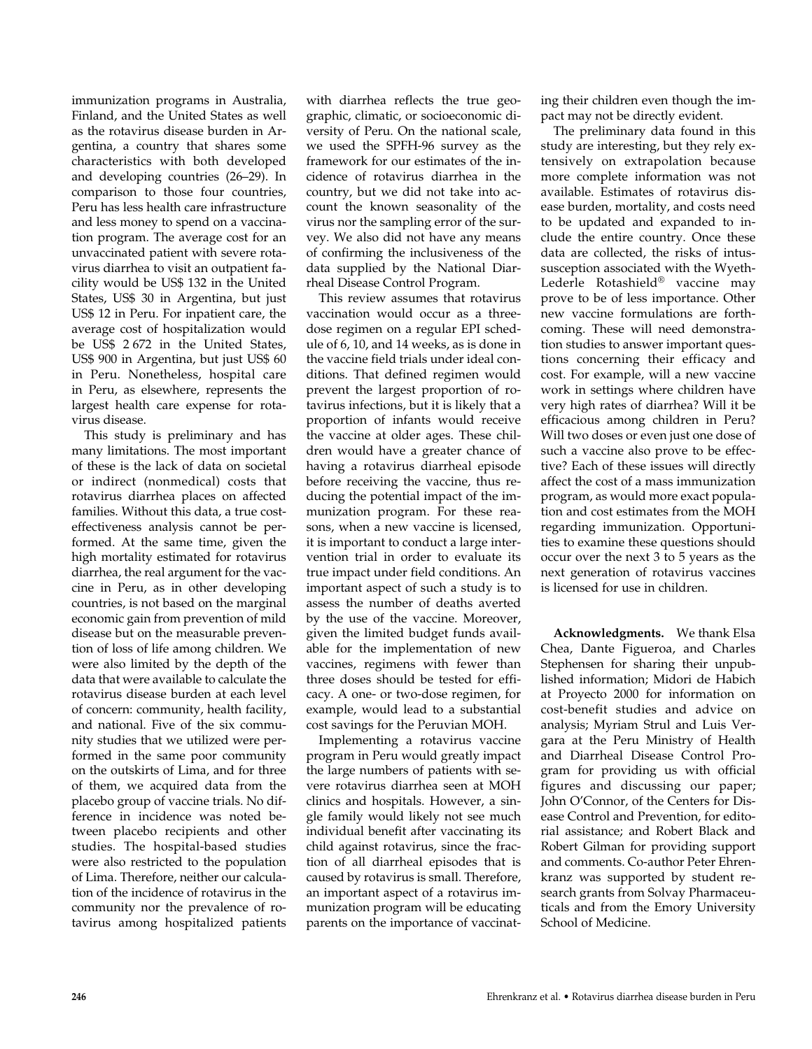immunization programs in Australia, Finland, and the United States as well as the rotavirus disease burden in Argentina, a country that shares some characteristics with both developed and developing countries (26–29). In comparison to those four countries, Peru has less health care infrastructure and less money to spend on a vaccination program. The average cost for an unvaccinated patient with severe rotavirus diarrhea to visit an outpatient facility would be US\$ 132 in the United States, US\$ 30 in Argentina, but just US\$ 12 in Peru. For inpatient care, the average cost of hospitalization would be US\$ 2 672 in the United States, US\$ 900 in Argentina, but just US\$ 60 in Peru. Nonetheless, hospital care in Peru, as elsewhere, represents the largest health care expense for rotavirus disease.

This study is preliminary and has many limitations. The most important of these is the lack of data on societal or indirect (nonmedical) costs that rotavirus diarrhea places on affected families. Without this data, a true costeffectiveness analysis cannot be performed. At the same time, given the high mortality estimated for rotavirus diarrhea, the real argument for the vaccine in Peru, as in other developing countries, is not based on the marginal economic gain from prevention of mild disease but on the measurable prevention of loss of life among children. We were also limited by the depth of the data that were available to calculate the rotavirus disease burden at each level of concern: community, health facility, and national. Five of the six community studies that we utilized were performed in the same poor community on the outskirts of Lima, and for three of them, we acquired data from the placebo group of vaccine trials. No difference in incidence was noted between placebo recipients and other studies. The hospital-based studies were also restricted to the population of Lima. Therefore, neither our calculation of the incidence of rotavirus in the community nor the prevalence of rotavirus among hospitalized patients

with diarrhea reflects the true geographic, climatic, or socioeconomic diversity of Peru. On the national scale, we used the SPFH-96 survey as the framework for our estimates of the incidence of rotavirus diarrhea in the country, but we did not take into account the known seasonality of the virus nor the sampling error of the survey. We also did not have any means of confirming the inclusiveness of the data supplied by the National Diarrheal Disease Control Program.

This review assumes that rotavirus vaccination would occur as a threedose regimen on a regular EPI schedule of 6, 10, and 14 weeks, as is done in the vaccine field trials under ideal conditions. That defined regimen would prevent the largest proportion of rotavirus infections, but it is likely that a proportion of infants would receive the vaccine at older ages. These children would have a greater chance of having a rotavirus diarrheal episode before receiving the vaccine, thus reducing the potential impact of the immunization program. For these reasons, when a new vaccine is licensed, it is important to conduct a large intervention trial in order to evaluate its true impact under field conditions. An important aspect of such a study is to assess the number of deaths averted by the use of the vaccine. Moreover, given the limited budget funds available for the implementation of new vaccines, regimens with fewer than three doses should be tested for efficacy. A one- or two-dose regimen, for example, would lead to a substantial cost savings for the Peruvian MOH.

Implementing a rotavirus vaccine program in Peru would greatly impact the large numbers of patients with severe rotavirus diarrhea seen at MOH clinics and hospitals. However, a single family would likely not see much individual benefit after vaccinating its child against rotavirus, since the fraction of all diarrheal episodes that is caused by rotavirus is small. Therefore, an important aspect of a rotavirus immunization program will be educating parents on the importance of vaccinating their children even though the impact may not be directly evident.

The preliminary data found in this study are interesting, but they rely extensively on extrapolation because more complete information was not available. Estimates of rotavirus disease burden, mortality, and costs need to be updated and expanded to include the entire country. Once these data are collected, the risks of intussusception associated with the Wyeth-Lederle Rotashield® vaccine may prove to be of less importance. Other new vaccine formulations are forthcoming. These will need demonstration studies to answer important questions concerning their efficacy and cost. For example, will a new vaccine work in settings where children have very high rates of diarrhea? Will it be efficacious among children in Peru? Will two doses or even just one dose of such a vaccine also prove to be effective? Each of these issues will directly affect the cost of a mass immunization program, as would more exact population and cost estimates from the MOH regarding immunization. Opportunities to examine these questions should occur over the next 3 to 5 years as the next generation of rotavirus vaccines is licensed for use in children.

**Acknowledgments.** We thank Elsa Chea, Dante Figueroa, and Charles Stephensen for sharing their unpublished information; Midori de Habich at Proyecto 2000 for information on cost-benefit studies and advice on analysis; Myriam Strul and Luis Vergara at the Peru Ministry of Health and Diarrheal Disease Control Program for providing us with official figures and discussing our paper; John O'Connor, of the Centers for Disease Control and Prevention, for editorial assistance; and Robert Black and Robert Gilman for providing support and comments. Co-author Peter Ehrenkranz was supported by student research grants from Solvay Pharmaceuticals and from the Emory University School of Medicine.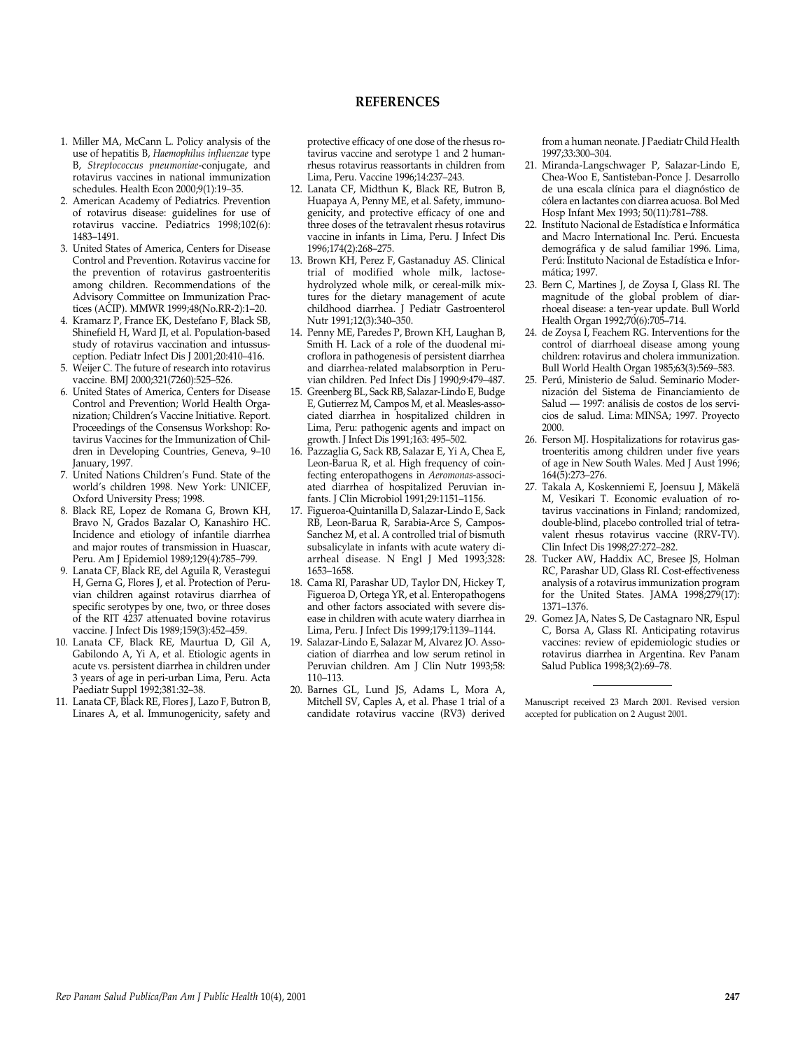## **REFERENCES**

- 1. Miller MA, McCann L. Policy analysis of the use of hepatitis B, *Haemophilus influenzae* type B, *Streptococcus pneumoniae*-conjugate, and rotavirus vaccines in national immunization schedules. Health Econ 2000;9(1):19–35.
- 2. American Academy of Pediatrics. Prevention of rotavirus disease: guidelines for use of rotavirus vaccine. Pediatrics 1998;102(6): 1483–1491.
- 3. United States of America, Centers for Disease Control and Prevention. Rotavirus vaccine for the prevention of rotavirus gastroenteritis among children. Recommendations of the Advisory Committee on Immunization Practices (ACIP). MMWR 1999;48(No.RR-2):1–20.
- 4. Kramarz P, France EK, Destefano F, Black SB, Shinefield H, Ward JI, et al. Population-based study of rotavirus vaccination and intussusception. Pediatr Infect Dis J 2001;20:410–416.
- 5. Weijer C. The future of research into rotavirus vaccine. BMJ 2000;321(7260):525–526.
- 6. United States of America, Centers for Disease Control and Prevention; World Health Organization; Children's Vaccine Initiative. Report. Proceedings of the Consensus Workshop: Rotavirus Vaccines for the Immunization of Children in Developing Countries, Geneva, 9–10 January, 1997.
- 7. United Nations Children's Fund. State of the world's children 1998. New York: UNICEF, Oxford University Press; 1998.
- 8. Black RE, Lopez de Romana G, Brown KH, Bravo N, Grados Bazalar O, Kanashiro HC. Incidence and etiology of infantile diarrhea and major routes of transmission in Huascar, Peru. Am J Epidemiol 1989;129(4):785–799.
- 9. Lanata CF, Black RE, del Aguila R, Verastegui H, Gerna G, Flores J, et al. Protection of Peruvian children against rotavirus diarrhea of specific serotypes by one, two, or three doses of the RIT 4237 attenuated bovine rotavirus vaccine. J Infect Dis 1989;159(3):452–459.
- 10. Lanata CF, Black RE, Maurtua D, Gil A, Gabilondo A, Yi A, et al. Etiologic agents in acute vs. persistent diarrhea in children under 3 years of age in peri-urban Lima, Peru. Acta Paediatr Suppl 1992;381:32–38.
- 11. Lanata CF, Black RE, Flores J, Lazo F, Butron B, Linares A, et al. Immunogenicity, safety and

protective efficacy of one dose of the rhesus rotavirus vaccine and serotype 1 and 2 humanrhesus rotavirus reassortants in children from Lima, Peru. Vaccine 1996;14:237–243.

- 12. Lanata CF, Midthun K, Black RE, Butron B, Huapaya A, Penny ME, et al. Safety, immunogenicity, and protective efficacy of one and three doses of the tetravalent rhesus rotavirus vaccine in infants in Lima, Peru. J Infect Dis 1996;174(2):268–275.
- 13. Brown KH, Perez F, Gastanaduy AS. Clinical trial of modified whole milk, lactosehydrolyzed whole milk, or cereal-milk mixtures for the dietary management of acute childhood diarrhea. J Pediatr Gastroenterol Nutr 1991;12(3):340–350.
- 14. Penny ME, Paredes P, Brown KH, Laughan B, Smith H. Lack of a role of the duodenal microflora in pathogenesis of persistent diarrhea and diarrhea-related malabsorption in Peruvian children. Ped Infect Dis J 1990;9:479–487.
- 15. Greenberg BL, Sack RB, Salazar-Lindo E, Budge E, Gutierrez M, Campos M, et al. Measles-associated diarrhea in hospitalized children in Lima, Peru: pathogenic agents and impact on growth. J Infect Dis 1991;163: 495–502.
- 16. Pazzaglia G, Sack RB, Salazar E, Yi A, Chea E, Leon-Barua R, et al. High frequency of coinfecting enteropathogens in *Aeromonas*-associated diarrhea of hospitalized Peruvian infants. J Clin Microbiol 1991;29:1151–1156.
- 17. Figueroa-Quintanilla D, Salazar-Lindo E, Sack RB, Leon-Barua R, Sarabia-Arce S, Campos-Sanchez M, et al. A controlled trial of bismuth subsalicylate in infants with acute watery diarrheal disease. N Engl J Med 1993;328: 1653–1658.
- 18. Cama RI, Parashar UD, Taylor DN, Hickey T, Figueroa D, Ortega YR, et al. Enteropathogens and other factors associated with severe disease in children with acute watery diarrhea in Lima, Peru. J Infect Dis 1999;179:1139–1144.
- 19. Salazar-Lindo E, Salazar M, Alvarez JO. Association of diarrhea and low serum retinol in Peruvian children. Am J Clin Nutr 1993;58: 110–113.
- 20. Barnes GL, Lund JS, Adams L, Mora A, Mitchell SV, Caples A, et al. Phase 1 trial of a candidate rotavirus vaccine (RV3) derived

from a human neonate. J Paediatr Child Health 1997;33:300–304.

- 21. Miranda-Langschwager P, Salazar-Lindo E, Chea-Woo E, Santisteban-Ponce J. Desarrollo de una escala clínica para el diagnóstico de cólera en lactantes con diarrea acuosa. Bol Med Hosp Infant Mex 1993; 50(11):781–788.
- 22. Instituto Nacional de Estadística e Informática and Macro International Inc. Perú. Encuesta demográfica y de salud familiar 1996. Lima, Perú: Instituto Nacional de Estadística e Informática; 1997.
- 23. Bern C, Martines J, de Zoysa I, Glass RI. The magnitude of the global problem of diarrhoeal disease: a ten-year update. Bull World Health Organ 1992;70(6):705–714.
- 24. de Zoysa I, Feachem RG. Interventions for the control of diarrhoeal disease among young children: rotavirus and cholera immunization. Bull World Health Organ 1985;63(3):569–583.
- 25. Perú, Ministerio de Salud. Seminario Modernización del Sistema de Financiamiento de Salud — 1997: análisis de costos de los servicios de salud. Lima: MINSA; 1997. Proyecto 2000.
- 26. Ferson MJ. Hospitalizations for rotavirus gastroenteritis among children under five years of age in New South Wales. Med J Aust 1996; 164(5):273–276.
- 27. Takala A, Koskenniemi E, Joensuu J, Mäkelä M, Vesikari T. Economic evaluation of rotavirus vaccinations in Finland; randomized, double-blind, placebo controlled trial of tetravalent rhesus rotavirus vaccine (RRV-TV). Clin Infect Dis 1998;27:272–282.
- 28. Tucker AW, Haddix AC, Bresee JS, Holman RC, Parashar UD, Glass RI. Cost-effectiveness analysis of a rotavirus immunization program for the United States. JAMA 1998;279(17): 1371–1376.
- 29. Gomez JA, Nates S, De Castagnaro NR, Espul C, Borsa A, Glass RI. Anticipating rotavirus vaccines: review of epidemiologic studies or rotavirus diarrhea in Argentina. Rev Panam Salud Publica 1998;3(2):69–78.

Manuscript received 23 March 2001. Revised version accepted for publication on 2 August 2001.